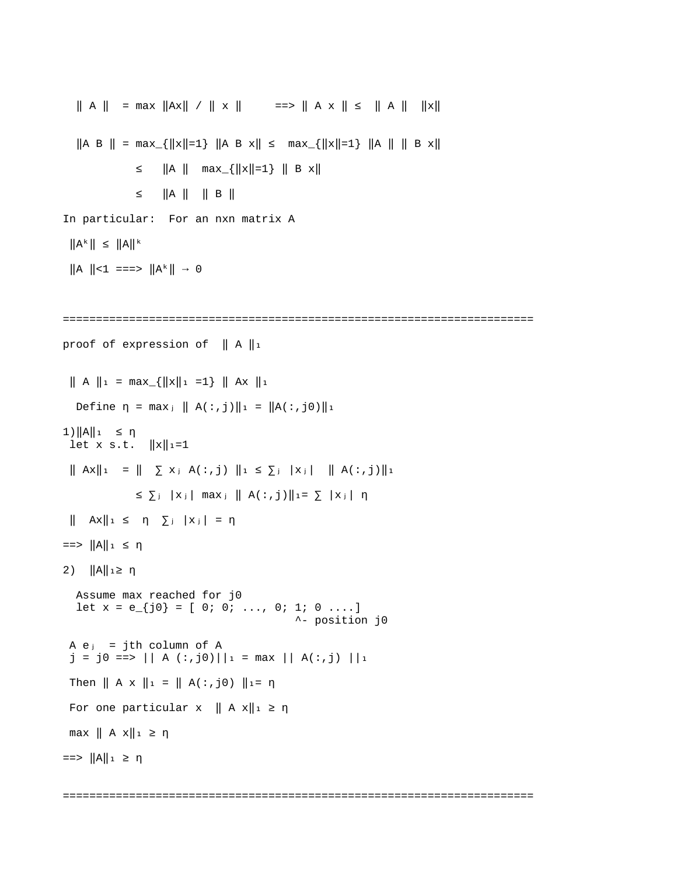```
|| A || = max ||Ax|| / || x || = => || A x || \le || A || || x ||\|A \ B \| = max_{\|x\|=1} \|A \ B \ x\| \leq max_{\|x\|=1} \|A \| \| \|B \ x\|≤ ||A || max_{||x||=1} || B x||
             \leq ||A || || B ||
In particular: For an nxn matrix A
 \|A^k\| \leq \|A\|^k||A|| < 1 ===> ||A^k|| \rightarrow 0=======================================================================
proof of expression of \| A \|_1\| A \|_1 = \max_{\{||x||_1 = 1\}} \| Ax \|_1Define η = max<sub>i</sub> || A(:,j)||1 = ||A(:,j0)||1
1) ||A||_1 ≤ η
let x s.t. ||x||_1=1\| Ax \|_1 = \| \sum x_j A(:,j) \|_1 \le \sum_j |x_j| \|A(:,j)\|_1\leq \sum_j |x_j| max \|A(:,j)\|_1 = \sum |x_j| \eta\|\quad Ax\|_1 \leq \eta \sum_j |x_j| = \eta== ||A||_1 \leq \eta2) ||A||_1 \ge \eta Assume max reached for j0
  let x = e_{i}[j0} = [ 0; 0; ..., 0; 1; 0 ....]
                                             ^- position j0
A e_j = jth column of Aj = j0 == > || A(:,j0)||_1 = max || A(:,j) ||_1Then || A \times ||_1 = || A(:,j0) ||_1 = \etaFor one particular x \parallel A x \parallel_1 \geq \etamax || A x ||_1 ≥ η== ||A||_1 \geq \eta
```
=======================================================================